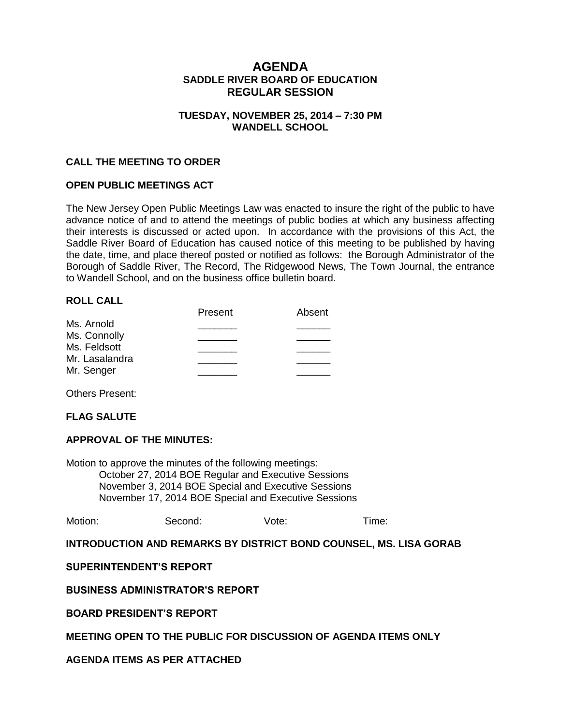# **AGENDA SADDLE RIVER BOARD OF EDUCATION REGULAR SESSION**

### **TUESDAY, NOVEMBER 25, 2014 – 7:30 PM WANDELL SCHOOL**

### **CALL THE MEETING TO ORDER**

### **OPEN PUBLIC MEETINGS ACT**

The New Jersey Open Public Meetings Law was enacted to insure the right of the public to have advance notice of and to attend the meetings of public bodies at which any business affecting their interests is discussed or acted upon. In accordance with the provisions of this Act, the Saddle River Board of Education has caused notice of this meeting to be published by having the date, time, and place thereof posted or notified as follows: the Borough Administrator of the Borough of Saddle River, The Record, The Ridgewood News, The Town Journal, the entrance to Wandell School, and on the business office bulletin board.

#### **ROLL CALL**

| Absent |
|--------|
|        |
|        |
|        |
|        |
|        |
|        |

Others Present:

#### **FLAG SALUTE**

#### **APPROVAL OF THE MINUTES:**

Motion to approve the minutes of the following meetings: October 27, 2014 BOE Regular and Executive Sessions November 3, 2014 BOE Special and Executive Sessions November 17, 2014 BOE Special and Executive Sessions

|  | Motion: | Second: | Vote: | Time: |
|--|---------|---------|-------|-------|
|--|---------|---------|-------|-------|

#### **INTRODUCTION AND REMARKS BY DISTRICT BOND COUNSEL, MS. LISA GORAB**

#### **SUPERINTENDENT'S REPORT**

#### **BUSINESS ADMINISTRATOR'S REPORT**

#### **BOARD PRESIDENT'S REPORT**

#### **MEETING OPEN TO THE PUBLIC FOR DISCUSSION OF AGENDA ITEMS ONLY**

### **AGENDA ITEMS AS PER ATTACHED**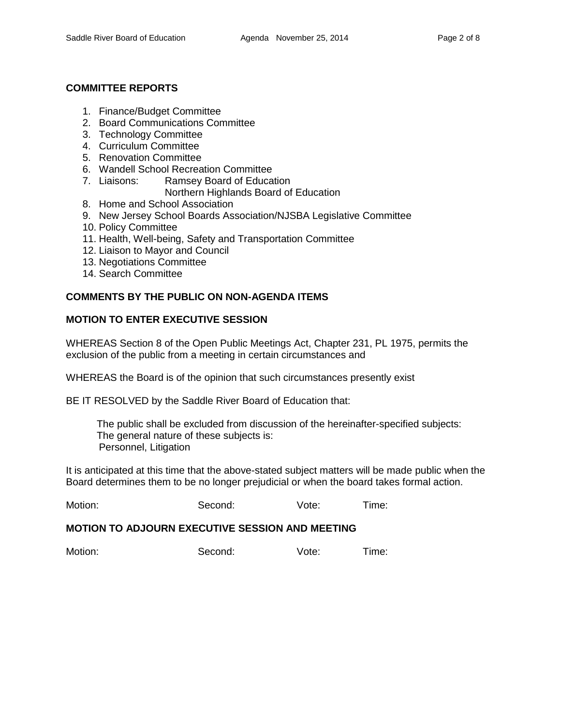### **COMMITTEE REPORTS**

- 1. Finance/Budget Committee
- 2. Board Communications Committee
- 3. Technology Committee
- 4. Curriculum Committee
- 5. Renovation Committee
- 6. Wandell School Recreation Committee
- 7. Liaisons: Ramsey Board of Education Northern Highlands Board of Education
- 8. Home and School Association
- 9. New Jersey School Boards Association/NJSBA Legislative Committee
- 10. Policy Committee
- 11. Health, Well-being, Safety and Transportation Committee
- 12. Liaison to Mayor and Council
- 13. Negotiations Committee
- 14. Search Committee

## **COMMENTS BY THE PUBLIC ON NON-AGENDA ITEMS**

## **MOTION TO ENTER EXECUTIVE SESSION**

WHEREAS Section 8 of the Open Public Meetings Act, Chapter 231, PL 1975, permits the exclusion of the public from a meeting in certain circumstances and

WHEREAS the Board is of the opinion that such circumstances presently exist

BE IT RESOLVED by the Saddle River Board of Education that:

 The public shall be excluded from discussion of the hereinafter-specified subjects: The general nature of these subjects is: Personnel, Litigation

It is anticipated at this time that the above-stated subject matters will be made public when the Board determines them to be no longer prejudicial or when the board takes formal action.

Motion: Second: Vote: Time:

#### **MOTION TO ADJOURN EXECUTIVE SESSION AND MEETING**

Motion: Second: Vote: Time: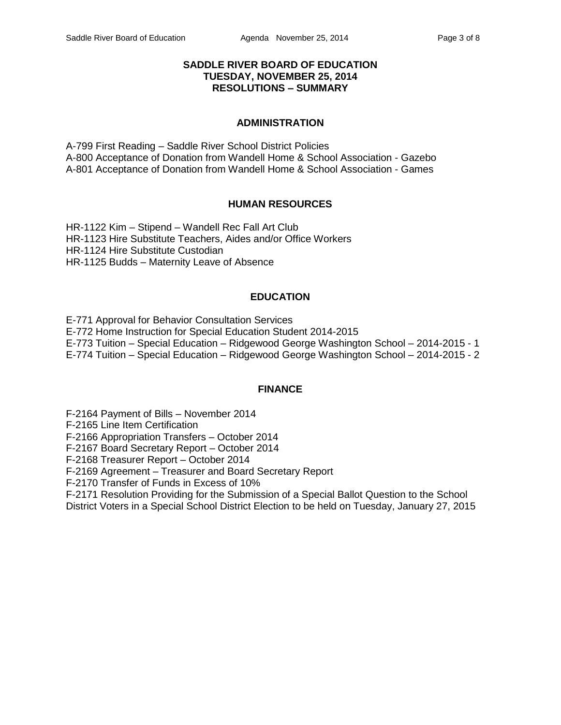### **SADDLE RIVER BOARD OF EDUCATION TUESDAY, NOVEMBER 25, 2014 RESOLUTIONS – SUMMARY**

### **ADMINISTRATION**

A-799 First Reading – Saddle River School District Policies A-800 Acceptance of Donation from Wandell Home & School Association - Gazebo A-801 Acceptance of Donation from Wandell Home & School Association - Games

## **HUMAN RESOURCES**

HR-1122 Kim – Stipend – Wandell Rec Fall Art Club HR-1123 Hire Substitute Teachers, Aides and/or Office Workers HR-1124 Hire Substitute Custodian HR-1125 Budds – Maternity Leave of Absence

## **EDUCATION**

E-771 Approval for Behavior Consultation Services E-772 Home Instruction for Special Education Student 2014-2015 E-773 Tuition – Special Education – Ridgewood George Washington School – 2014-2015 - 1 E-774 Tuition – Special Education – Ridgewood George Washington School – 2014-2015 - 2

## **FINANCE**

F-2164 Payment of Bills – November 2014

F-2165 Line Item Certification

F-2166 Appropriation Transfers – October 2014

F-2167 Board Secretary Report – October 2014

F-2168 Treasurer Report – October 2014

F-2169 Agreement – Treasurer and Board Secretary Report

F-2170 Transfer of Funds in Excess of 10%

F-2171 Resolution Providing for the Submission of a Special Ballot Question to the School

District Voters in a Special School District Election to be held on Tuesday, January 27, 2015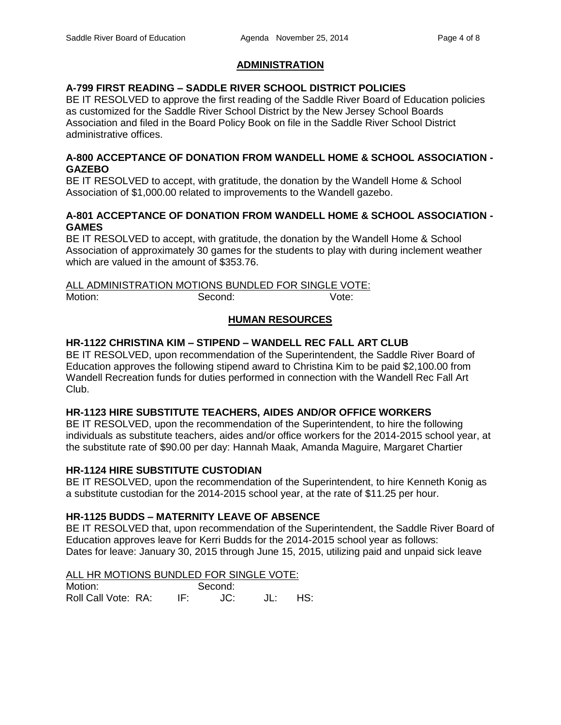# **ADMINISTRATION**

## **A-799 FIRST READING – SADDLE RIVER SCHOOL DISTRICT POLICIES**

BE IT RESOLVED to approve the first reading of the Saddle River Board of Education policies as customized for the Saddle River School District by the New Jersey School Boards Association and filed in the Board Policy Book on file in the Saddle River School District administrative offices.

### **A-800 ACCEPTANCE OF DONATION FROM WANDELL HOME & SCHOOL ASSOCIATION - GAZEBO**

BE IT RESOLVED to accept, with gratitude, the donation by the Wandell Home & School Association of \$1,000.00 related to improvements to the Wandell gazebo.

### **A-801 ACCEPTANCE OF DONATION FROM WANDELL HOME & SCHOOL ASSOCIATION - GAMES**

BE IT RESOLVED to accept, with gratitude, the donation by the Wandell Home & School Association of approximately 30 games for the students to play with during inclement weather which are valued in the amount of \$353.76.

|         | ALL ADMINISTRATION MOTIONS BUNDLED FOR SINGLE VOTE: |       |
|---------|-----------------------------------------------------|-------|
| Motion: | Second:                                             | Vote: |

# **HUMAN RESOURCES**

## **HR-1122 CHRISTINA KIM – STIPEND – WANDELL REC FALL ART CLUB**

BE IT RESOLVED, upon recommendation of the Superintendent, the Saddle River Board of Education approves the following stipend award to Christina Kim to be paid \$2,100.00 from Wandell Recreation funds for duties performed in connection with the Wandell Rec Fall Art Club.

## **HR-1123 HIRE SUBSTITUTE TEACHERS, AIDES AND/OR OFFICE WORKERS**

BE IT RESOLVED, upon the recommendation of the Superintendent, to hire the following individuals as substitute teachers, aides and/or office workers for the 2014-2015 school year, at the substitute rate of \$90.00 per day: Hannah Maak, Amanda Maguire, Margaret Chartier

## **HR-1124 HIRE SUBSTITUTE CUSTODIAN**

BE IT RESOLVED, upon the recommendation of the Superintendent, to hire Kenneth Konig as a substitute custodian for the 2014-2015 school year, at the rate of \$11.25 per hour.

## **HR-1125 BUDDS – MATERNITY LEAVE OF ABSENCE**

BE IT RESOLVED that, upon recommendation of the Superintendent, the Saddle River Board of Education approves leave for Kerri Budds for the 2014-2015 school year as follows: Dates for leave: January 30, 2015 through June 15, 2015, utilizing paid and unpaid sick leave

### ALL HR MOTIONS BUNDLED FOR SINGLE VOTE:

Motion: Second: Roll Call Vote: RA: IF: JC: JL: HS: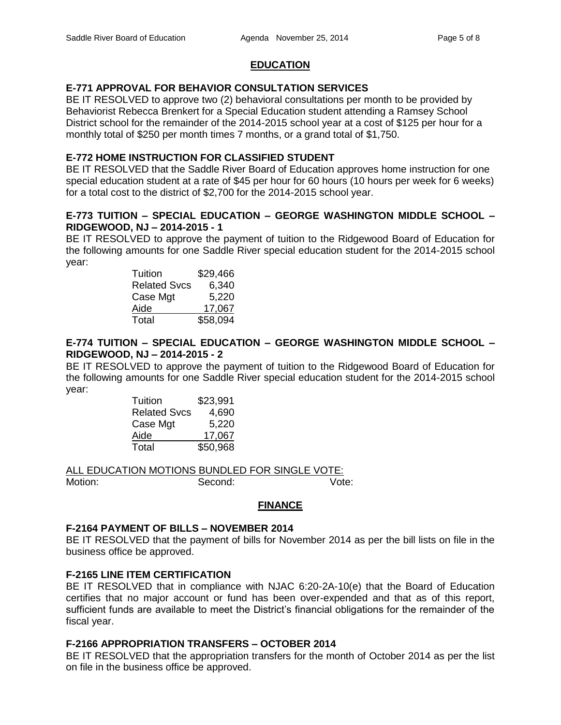# **EDUCATION**

## **E-771 APPROVAL FOR BEHAVIOR CONSULTATION SERVICES**

BE IT RESOLVED to approve two (2) behavioral consultations per month to be provided by Behaviorist Rebecca Brenkert for a Special Education student attending a Ramsey School District school for the remainder of the 2014-2015 school year at a cost of \$125 per hour for a monthly total of \$250 per month times 7 months, or a grand total of \$1,750.

### **E-772 HOME INSTRUCTION FOR CLASSIFIED STUDENT**

BE IT RESOLVED that the Saddle River Board of Education approves home instruction for one special education student at a rate of \$45 per hour for 60 hours (10 hours per week for 6 weeks) for a total cost to the district of \$2,700 for the 2014-2015 school year.

### **E-773 TUITION – SPECIAL EDUCATION – GEORGE WASHINGTON MIDDLE SCHOOL – RIDGEWOOD, NJ – 2014-2015 - 1**

BE IT RESOLVED to approve the payment of tuition to the Ridgewood Board of Education for the following amounts for one Saddle River special education student for the 2014-2015 school year:

| Tuition             | \$29,466 |
|---------------------|----------|
| <b>Related Svcs</b> | 6,340    |
| Case Mgt            | 5,220    |
| Aide                | 17,067   |
| Total               | \$58,094 |

## **E-774 TUITION – SPECIAL EDUCATION – GEORGE WASHINGTON MIDDLE SCHOOL – RIDGEWOOD, NJ – 2014-2015 - 2**

BE IT RESOLVED to approve the payment of tuition to the Ridgewood Board of Education for the following amounts for one Saddle River special education student for the 2014-2015 school year:

| Tuition             | \$23,991 |
|---------------------|----------|
| <b>Related Svcs</b> | 4,690    |
| Case Mgt            | 5,220    |
| Aide                | 17,067   |
| Total               | \$50,968 |

ALL EDUCATION MOTIONS BUNDLED FOR SINGLE VOTE:

Motion: Second: Second: Vote:

## **FINANCE**

## **F-2164 PAYMENT OF BILLS – NOVEMBER 2014**

BE IT RESOLVED that the payment of bills for November 2014 as per the bill lists on file in the business office be approved.

## **F-2165 LINE ITEM CERTIFICATION**

BE IT RESOLVED that in compliance with NJAC 6:20-2A-10(e) that the Board of Education certifies that no major account or fund has been over-expended and that as of this report, sufficient funds are available to meet the District's financial obligations for the remainder of the fiscal year.

## **F-2166 APPROPRIATION TRANSFERS – OCTOBER 2014**

BE IT RESOLVED that the appropriation transfers for the month of October 2014 as per the list on file in the business office be approved.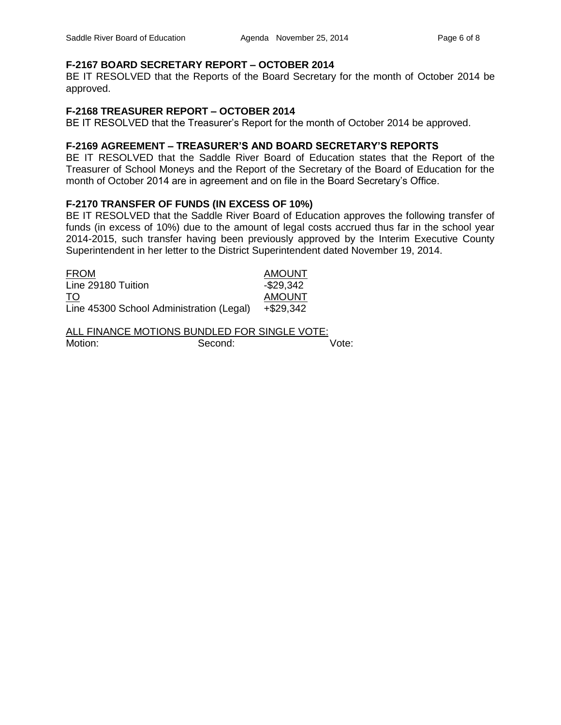### **F-2167 BOARD SECRETARY REPORT – OCTOBER 2014**

BE IT RESOLVED that the Reports of the Board Secretary for the month of October 2014 be approved.

### **F-2168 TREASURER REPORT – OCTOBER 2014**

BE IT RESOLVED that the Treasurer's Report for the month of October 2014 be approved.

### **F-2169 AGREEMENT – TREASURER'S AND BOARD SECRETARY'S REPORTS**

BE IT RESOLVED that the Saddle River Board of Education states that the Report of the Treasurer of School Moneys and the Report of the Secretary of the Board of Education for the month of October 2014 are in agreement and on file in the Board Secretary's Office.

#### **F-2170 TRANSFER OF FUNDS (IN EXCESS OF 10%)**

BE IT RESOLVED that the Saddle River Board of Education approves the following transfer of funds (in excess of 10%) due to the amount of legal costs accrued thus far in the school year 2014-2015, such transfer having been previously approved by the Interim Executive County Superintendent in her letter to the District Superintendent dated November 19, 2014.

| <b>FROM</b>                              | <b>AMOUNT</b> |
|------------------------------------------|---------------|
| Line 29180 Tuition                       | $-$ \$29,342  |
| TO                                       | <b>AMOUNT</b> |
| Line 45300 School Administration (Legal) | +\$29,342     |

ALL FINANCE MOTIONS BUNDLED FOR SINGLE VOTE: Motion: Second: Second: Vote: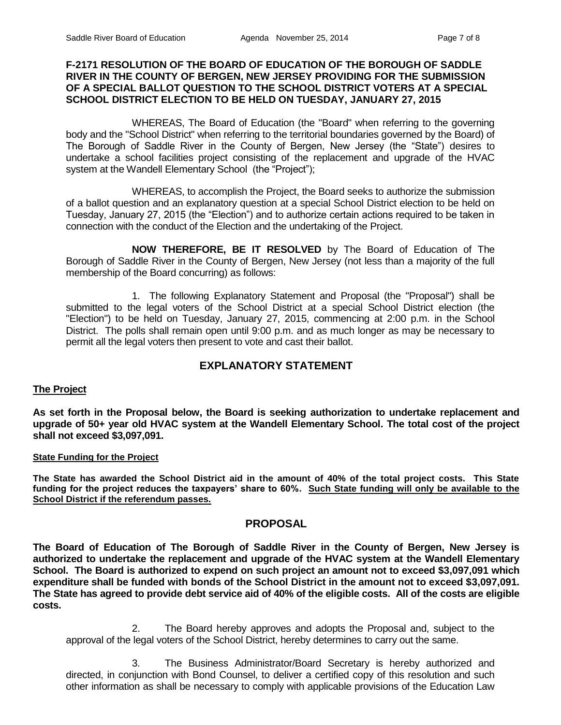#### **F-2171 RESOLUTION OF THE BOARD OF EDUCATION OF THE BOROUGH OF SADDLE RIVER IN THE COUNTY OF BERGEN, NEW JERSEY PROVIDING FOR THE SUBMISSION OF A SPECIAL BALLOT QUESTION TO THE SCHOOL DISTRICT VOTERS AT A SPECIAL SCHOOL DISTRICT ELECTION TO BE HELD ON TUESDAY, JANUARY 27, 2015**

WHEREAS, The Board of Education (the "Board" when referring to the governing body and the "School District" when referring to the territorial boundaries governed by the Board) of The Borough of Saddle River in the County of Bergen, New Jersey (the "State") desires to undertake a school facilities project consisting of the replacement and upgrade of the HVAC system at the Wandell Elementary School (the "Project");

WHEREAS, to accomplish the Project, the Board seeks to authorize the submission of a ballot question and an explanatory question at a special School District election to be held on Tuesday, January 27, 2015 (the "Election") and to authorize certain actions required to be taken in connection with the conduct of the Election and the undertaking of the Project.

**NOW THEREFORE, BE IT RESOLVED** by The Board of Education of The Borough of Saddle River in the County of Bergen, New Jersey (not less than a majority of the full membership of the Board concurring) as follows:

1. The following Explanatory Statement and Proposal (the "Proposal") shall be submitted to the legal voters of the School District at a special School District election (the "Election") to be held on Tuesday, January 27, 2015, commencing at 2:00 p.m. in the School District. The polls shall remain open until 9:00 p.m. and as much longer as may be necessary to permit all the legal voters then present to vote and cast their ballot.

# **EXPLANATORY STATEMENT**

#### **The Project**

**As set forth in the Proposal below, the Board is seeking authorization to undertake replacement and upgrade of 50+ year old HVAC system at the Wandell Elementary School. The total cost of the project shall not exceed \$3,097,091.** 

#### **State Funding for the Project**

**The State has awarded the School District aid in the amount of 40% of the total project costs. This State funding for the project reduces the taxpayers' share to 60%. Such State funding will only be available to the School District if the referendum passes.**

## **PROPOSAL**

**The Board of Education of The Borough of Saddle River in the County of Bergen, New Jersey is authorized to undertake the replacement and upgrade of the HVAC system at the Wandell Elementary School. The Board is authorized to expend on such project an amount not to exceed \$3,097,091 which expenditure shall be funded with bonds of the School District in the amount not to exceed \$3,097,091. The State has agreed to provide debt service aid of 40% of the eligible costs. All of the costs are eligible costs.**

2. The Board hereby approves and adopts the Proposal and, subject to the approval of the legal voters of the School District, hereby determines to carry out the same.

3. The Business Administrator/Board Secretary is hereby authorized and directed, in conjunction with Bond Counsel, to deliver a certified copy of this resolution and such other information as shall be necessary to comply with applicable provisions of the Education Law